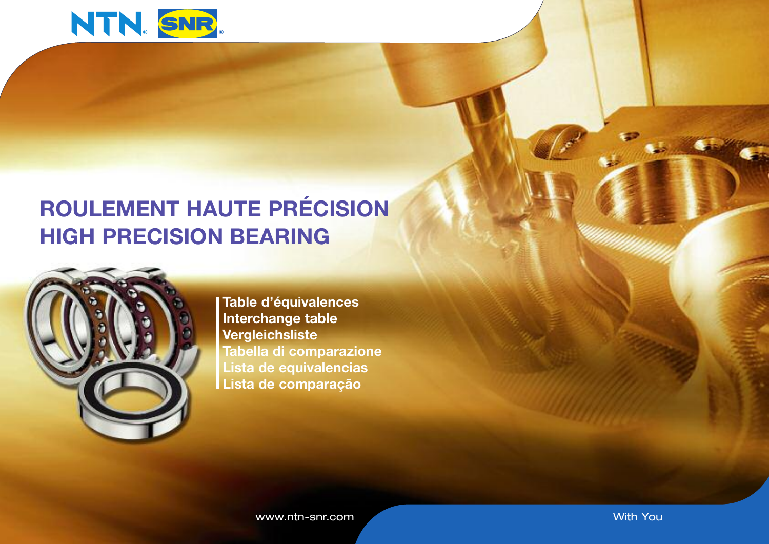

# **ROULEMENT HAUTE PRÉCISION HIGH PRECISION BEARING**



**Table d'équivalences Interchange table Vergleichsliste Tabella di comparazione Lista de equivalencias Lista de comparação**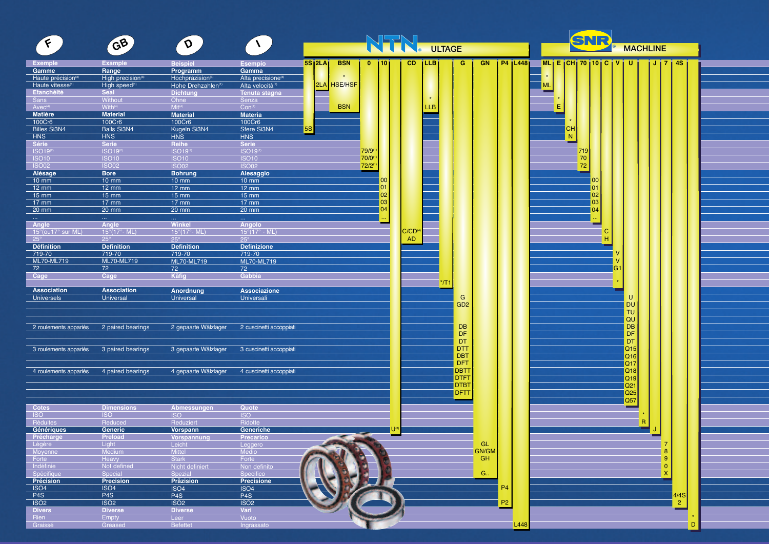|                                           |                                      |                                       |                                              |                             |                     |                                   |                            |                |                 | SNR                                                                                    |  |
|-------------------------------------------|--------------------------------------|---------------------------------------|----------------------------------------------|-----------------------------|---------------------|-----------------------------------|----------------------------|----------------|-----------------|----------------------------------------------------------------------------------------|--|
| $\epsilon$                                | GB                                   | $\sigma$                              | $\mathcal{N}$                                | NSENI<br><b>ULTAGE</b>      |                     |                                   |                            |                | <b>MACHLINE</b> |                                                                                        |  |
|                                           | <b>Example</b>                       |                                       |                                              | <b>5S12LA</b><br><b>BSN</b> | $0$ 1101            | CD.<br><b>ILLB</b>                | G                          | <b>GN</b>      | $P4$   $L448$   | $ML$ <sub>i</sub> E <sub>i</sub> CH <sub>i</sub> 70   10   C   V   U  <br>  J   7   4S |  |
| Exemple<br>Gamme                          | Range                                | <b>Beispiel</b><br>Programm           | <b>Esempio</b><br>Gamma                      |                             |                     |                                   |                            |                |                 |                                                                                        |  |
| Haute précision(3)                        | High precision <sup>(3)</sup>        | Hochpräzision <sup>(3)</sup>          | Alta precisione <sup>(3)</sup>               | $\star$                     |                     |                                   |                            |                |                 |                                                                                        |  |
| Haute vitesse <sup>(1</sup><br>Etanchéité | High speed <sup>(1)</sup><br>Seal    | Hohe Drehzahlen(1)<br><b>Dichtung</b> | Alta velocità(1)<br>Tenuta stagna            | <b>HSE/HSF</b><br>2LA       |                     |                                   |                            |                |                 | ML                                                                                     |  |
| Sans                                      | Without                              | Ohne                                  | Senza                                        |                             |                     |                                   |                            |                |                 |                                                                                        |  |
| $Avec^{4}$                                | With <sup>(4)</sup>                  | $Mit^{(4)}$                           | Con <sup>(4)</sup>                           | <b>BSN</b>                  |                     | LLB                               |                            |                |                 | Ε                                                                                      |  |
| <b>Matière</b><br>100Cr6                  | <b>Material</b><br>100Cr6            | <b>Material</b><br>100Cr6             | <b>Materia</b><br>100Cr6                     |                             |                     |                                   |                            |                |                 |                                                                                        |  |
| <b>Billes Si3N4</b>                       | <b>Balls Si3N4</b>                   | Kugeln Si3N4                          | Sfere Si3N4                                  | <b>5S</b>                   |                     |                                   |                            |                |                 | CН                                                                                     |  |
| HNS                                       | <b>HNS</b>                           | <b>HNS</b>                            | <b>HNS</b>                                   |                             |                     |                                   |                            |                |                 | N                                                                                      |  |
| Série<br><b>ISO19</b>                     | Serie<br><b>ISO19</b>                | Reihe<br>ISO19 <sup>(2</sup>          | Serie<br><b>ISO19</b>                        |                             | 79/9 <sup>(1)</sup> |                                   |                            |                |                 | 719                                                                                    |  |
| <b>ISO10</b>                              | <b>ISO10</b>                         | <b>ISO10</b>                          | <b>ISO10</b>                                 |                             | 70/0                |                                   |                            |                |                 | 70                                                                                     |  |
| <b>ISO02</b>                              | <b>ISO02</b>                         | <b>ISO02</b>                          | <b>ISO02</b>                                 |                             | 72/2                |                                   |                            |                |                 | 72                                                                                     |  |
| Alésage<br>$10$ mm                        | <b>Bore</b><br>$10$ mm               | <b>Bohrung</b><br>$10$ mm             | Alesaggio<br>$10 \text{ mm}$                 |                             |                     |                                   |                            |                |                 | 00                                                                                     |  |
| $12 \, \text{mm}$                         | $12 \, \text{mm}$                    | $12 \, \text{mm}$                     | $12 \, \text{mm}$                            |                             | 01                  |                                   |                            |                |                 | 01                                                                                     |  |
| <b>15 mm</b>                              | <b>15 mm</b>                         | $15$ mm                               | $15 \text{ mm}$                              |                             | 02 <sub>2</sub>     |                                   |                            |                |                 | 02                                                                                     |  |
| $17$ mm<br>$20 \text{ mm}$                | 17 mm<br>20 mm                       | $17$ mm<br>20 mm                      | $17$ mm<br>20 mm                             |                             | 03<br>04            |                                   |                            |                |                 | 03<br>04                                                                               |  |
|                                           |                                      |                                       |                                              |                             |                     |                                   |                            |                |                 |                                                                                        |  |
| Angle                                     | Angle                                | Winkel                                | Angolo                                       |                             |                     |                                   |                            |                |                 |                                                                                        |  |
| $15^{\circ}$ (ou17° sur ML)<br>$25^\circ$ | $15^{\circ}$ (17°- ML)<br>$25^\circ$ | $15^{\circ}$ (17° - ML)<br>$25^\circ$ | $15^{\circ} (17^{\circ} - ML)$<br>$25^\circ$ |                             |                     | $C/CD$ <sup>(4</sup><br><b>AD</b> |                            |                |                 | C<br>н                                                                                 |  |
| <b>Définition</b>                         | <b>Definition</b>                    | <b>Definition</b>                     | <b>Definizione</b>                           |                             |                     |                                   |                            |                |                 |                                                                                        |  |
| 719-70                                    | 719-70                               | 719-70                                | 719-70                                       |                             |                     |                                   |                            |                |                 |                                                                                        |  |
| ML70-ML719<br>72                          | ML70-ML719<br>72                     | ML70-ML719<br>72 <sub>2</sub>         | ML70-ML719<br>72                             |                             |                     |                                   |                            |                |                 |                                                                                        |  |
| Cage                                      | Cage                                 | Käfig                                 | Gabbia                                       |                             |                     |                                   |                            |                |                 |                                                                                        |  |
|                                           |                                      |                                       |                                              |                             |                     | <b>*/T</b>                        |                            |                |                 |                                                                                        |  |
| <b>Association</b><br><b>Universels</b>   | <b>Association</b><br>Universal      | Anordnung<br>Universal                | <b>Associazione</b><br>Universali            |                             |                     |                                   | G                          |                |                 | U                                                                                      |  |
|                                           |                                      |                                       |                                              |                             |                     |                                   | GD <sub>2</sub>            |                |                 | <b>DU</b>                                                                              |  |
|                                           |                                      |                                       |                                              |                             |                     |                                   |                            |                |                 | <b>TU</b><br>QU                                                                        |  |
| 2 roulements appariés                     | 2 paired bearings                    | 2 gepaarte Wälzlager                  | 2 cuscinetti accoppiati                      |                             |                     |                                   | <b>DB</b>                  |                |                 | <b>DB</b>                                                                              |  |
|                                           |                                      |                                       |                                              |                             |                     |                                   | DF                         |                |                 | DF                                                                                     |  |
| 3 roulements appariés                     | 3 paired bearings                    | 3 gepaarte Wälzlager                  | 3 cuscinetti accoppiati                      |                             |                     |                                   | <b>DT</b><br><b>DTT</b>    |                |                 | DT<br>Q15                                                                              |  |
|                                           |                                      |                                       |                                              |                             |                     |                                   | <b>DBT</b>                 |                |                 | Q16                                                                                    |  |
|                                           |                                      |                                       |                                              |                             |                     |                                   | <b>DFT</b>                 |                |                 | Q17                                                                                    |  |
| 4 roulements appariés                     | 4 paired bearings                    | 4 gepaarte Wälzlager                  | 4 cuscinetti accoppiati                      |                             |                     |                                   | <b>DBT1</b><br><b>DTF1</b> |                |                 | Q18<br>Q19                                                                             |  |
|                                           |                                      |                                       |                                              |                             |                     |                                   | DTB <sub>1</sub>           |                |                 | Q21                                                                                    |  |
|                                           |                                      |                                       |                                              |                             |                     |                                   | <b>DFTT</b>                |                |                 | Q25                                                                                    |  |
| <b>Cotes</b>                              | <b>Dimensions</b>                    | Abmessungen                           | Quote                                        |                             |                     |                                   |                            |                |                 | Q57<br>═                                                                               |  |
| <b>ISO</b>                                | <b>ISO</b>                           | <b>ISO</b>                            | <b>ISO</b>                                   |                             |                     |                                   |                            |                |                 |                                                                                        |  |
| Réduites                                  | Reduced                              | Reduziert                             | Ridotte                                      |                             |                     |                                   |                            |                |                 | R                                                                                      |  |
| Génériques<br>Précharge                   | <b>Generic</b><br>Preload            | <b>Vorspann</b>                       | Generiche                                    | <b>SERVICE</b>              |                     |                                   |                            |                |                 |                                                                                        |  |
| Légère                                    | Light                                | Vorspannung<br>Leicht                 | <b>Precarico</b><br>Leggero                  |                             |                     |                                   |                            | GL             |                 |                                                                                        |  |
| Moyenne                                   | Medium                               | <b>Mittel</b>                         | Medio                                        |                             |                     |                                   |                            | <b>GN/GM</b>   |                 | 8                                                                                      |  |
| Forte<br>Indéfinie                        | Heavy<br>Not defined                 | <b>Stark</b><br>Nicht definiert       | Forte                                        |                             |                     |                                   |                            | GH             |                 | 9<br>$\overline{0}$                                                                    |  |
| Spécifique                                | Special                              | Spezial                               | Non definito<br>Specifico                    |                             |                     |                                   |                            | G.,            |                 | X                                                                                      |  |
| Précision                                 | Precision                            | Präzision                             | <b>Precisione</b>                            |                             |                     |                                   |                            |                |                 |                                                                                        |  |
| ISO4<br>P4S                               | ISO4<br>P4S                          | ISO <sub>4</sub><br>P4S               | ISO4                                         |                             |                     |                                   |                            | <b>P4</b>      |                 |                                                                                        |  |
| ISO <sub>2</sub>                          | ISO2                                 | ISO2                                  | P4S<br>ISO <sub>2</sub>                      |                             |                     |                                   |                            | P <sub>2</sub> |                 | 4/4S<br>$\overline{2}$                                                                 |  |
| <b>Divers</b>                             | <b>Diverse</b>                       | <b>Diverse</b>                        | Vari                                         |                             |                     |                                   |                            |                |                 | ═                                                                                      |  |
| Rien                                      | Empty                                | Leer                                  | Vuoto                                        |                             |                     |                                   |                            |                |                 |                                                                                        |  |
| Graissé                                   | Greased                              | Befettet                              | Ingrassato                                   |                             |                     |                                   |                            |                | L448            | D                                                                                      |  |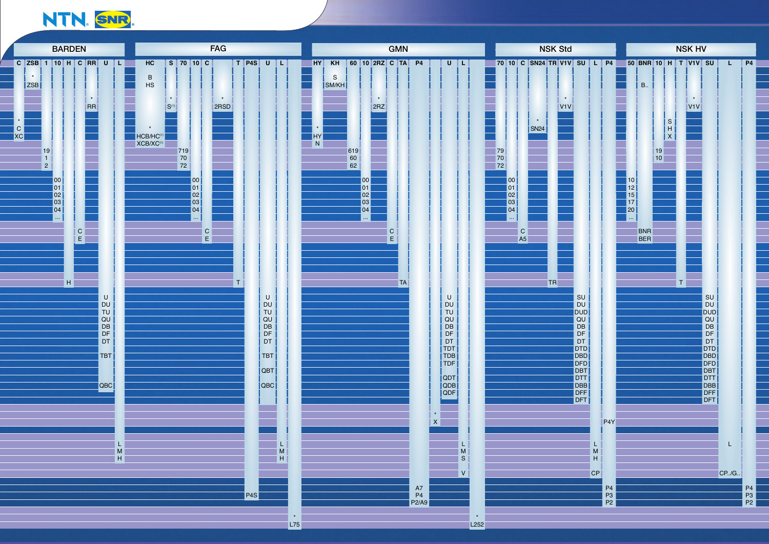## NTN. SNR

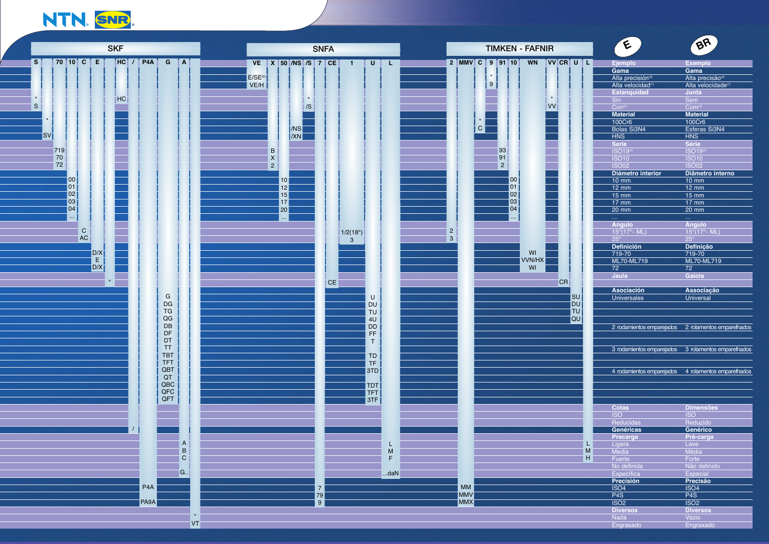## NTN. SNR

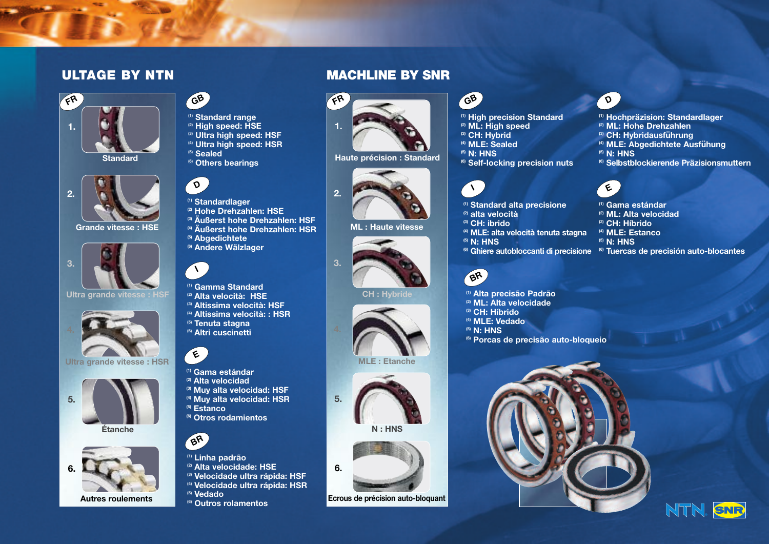### **ULTAGE BY NTN MACHLINE BY SNR**





### **Grande vitesse : HSE**



**Ultra grande vitesse : HSF**



**Ultra grande vitesse : HSR**



**Étanche**



## **GB**

- **(1) Standard range**
- **(2) High speed: HSE (3) Ultra high speed: HSF**
- **(4) Ultra high speed: HSR**
- **(5) Sealed**
- 
- **(6) Others bearings**

## **D**

- **(1) Standardlager**
- **(2) Hohe Drehzahlen: HSE**
- **(3) Äußerst hohe Drehzahlen: HSF**
- **(4) Äußerst hohe Drehzahlen: HSR**
- **(5) Abgedichtete (6) Andere Wälzlager**
- 



- **(1) Gamma Standard**
- **(2) Alta velocità: HSE**
- **(3) Altissima velocità: HSF**
- **(4) Altissima velocità: : HSR**
- **(5) Tenuta stagna (6) Altri cuscinetti**



- **(1) Gama estándar**
- **(2) Alta velocidad**
- **(3) Muy alta velocidad: HSF**
- **(4) Muy alta velocidad: HSR (5) Estanco**
- **(6) Otros rodamientos**



- **(1) Linha padrão**
- **(2) Alta velocidade: HSE**
- **(3) Velocidade ultra rápida: HSF**
- **(4) Velocidade ultra rápida: HSR**
- **(5) Vedado**
- **(6) Outros rolamentos**



**Haute précision : Standard**



**ML : Haute vitesse**



**3.**

### **CH : Hybride**







**Ecrous de précision auto-bloquant**

- **(1) High precision Standard**
- **(2) ML: High speed (3) CH: Hybrid**
- **(4) MLE: Sealed**
- **(5) N: HNS**
- 
- **(6) Self-locking precision nuts**

### **I**

**GB**

- **(1) Standard alta precisione**
- **(2) alta velocità (3) CH: ibrido**
- **(4) MLE: alta velocità tenuta stagna**
- **(5) N: HNS**
- 
- 

### **BR**

- **(1) Alta precisão Padrão**
- **(2) ML: Alta velocidade**
- **(3) CH: Híbrido**
- **(4) MLE: Vedado**
- **(5) N: HNS**
- **(6) Porcas de precisão auto-bloqueio**





- **(1) Hochpräzision: Standardlager**
- **(2) ML: Hohe Drehzahlen**
- **(3) CH: Hybridausfu**̈**hrung**
- **(4) MLE: Abgedichtete Ausfu**̈**hung**
- **(5) N: HNS**
- **(6) Selbstblockierende Präzisionsmuttern**

### **E**

- **(1) Gama estándar**
- **(2) ML: Alta velocidad**
- **(3) CH: Híbrido**
- **(4) MLE: Estanco**
- **(5) N: HNS**
- **(6) Tuercas de precisión auto-blocantes (6) Ghiere autobloccanti di precisione**